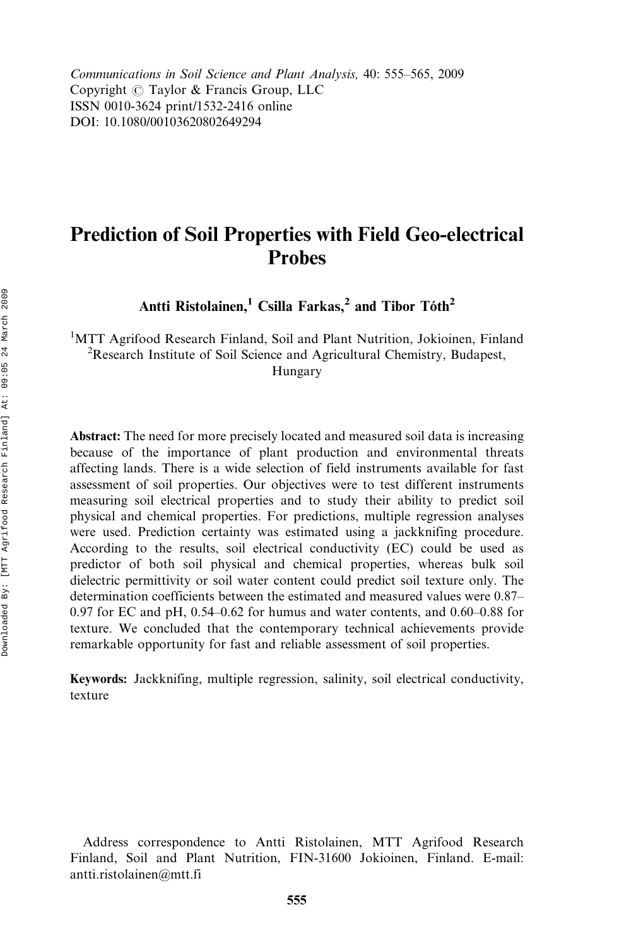Communications in Soil Science and Plant Analysis, 40: 555–565, 2009 Copyright  $\circled{c}$  Taylor & Francis Group, LLC ISSN 0010-3624 print/1532-2416 online DOI: 10.1080/00103620802649294

# Prediction of Soil Properties with Field Geo-electrical **Probes**

Antti Ristolainen,<sup>1</sup> Csilla Farkas,<sup>2</sup> and Tibor Tóth<sup>2</sup>

<sup>1</sup>MTT Agrifood Research Finland, Soil and Plant Nutrition, Jokioinen, Finland <sup>2</sup> Research Institute of Soil Science and Agricultural Chemistry, Budapest Research Institute of Soil Science and Agricultural Chemistry, Budapest, Hungary

Abstract: The need for more precisely located and measured soil data is increasing because of the importance of plant production and environmental threats affecting lands. There is a wide selection of field instruments available for fast assessment of soil properties. Our objectives were to test different instruments measuring soil electrical properties and to study their ability to predict soil physical and chemical properties. For predictions, multiple regression analyses were used. Prediction certainty was estimated using a jackknifing procedure. According to the results, soil electrical conductivity (EC) could be used as predictor of both soil physical and chemical properties, whereas bulk soil dielectric permittivity or soil water content could predict soil texture only. The determination coefficients between the estimated and measured values were 0.87– 0.97 for EC and pH, 0.54–0.62 for humus and water contents, and 0.60–0.88 for texture. We concluded that the contemporary technical achievements provide remarkable opportunity for fast and reliable assessment of soil properties.

Keywords: Jackknifing, multiple regression, salinity, soil electrical conductivity, texture

Address correspondence to Antti Ristolainen, MTT Agrifood Research Finland, Soil and Plant Nutrition, FIN-31600 Jokioinen, Finland. E-mail: antti.ristolainen@mtt.fi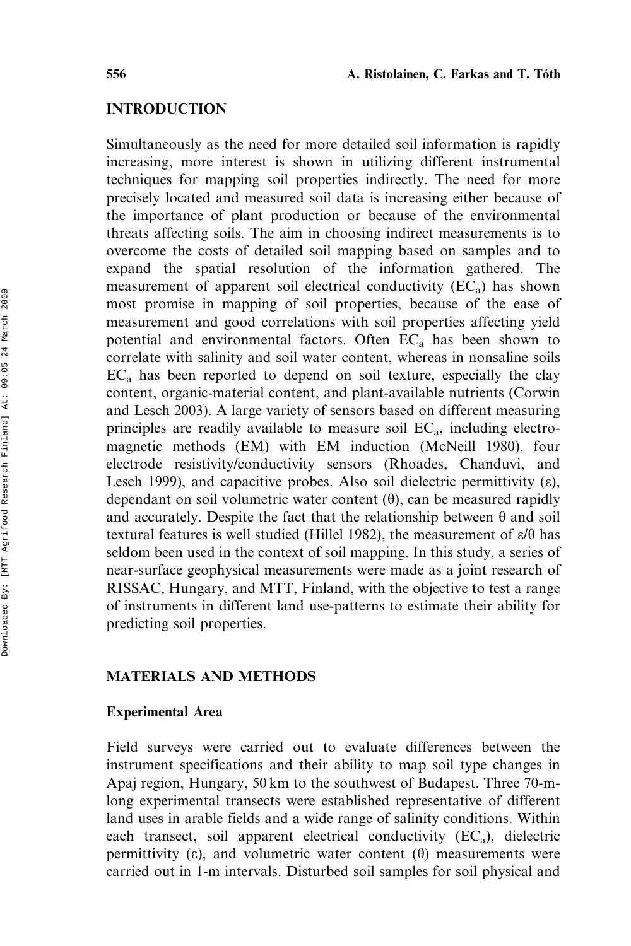# INTRODUCTION

Simultaneously as the need for more detailed soil information is rapidly increasing, more interest is shown in utilizing different instrumental techniques for mapping soil properties indirectly. The need for more precisely located and measured soil data is increasing either because of the importance of plant production or because of the environmental threats affecting soils. The aim in choosing indirect measurements is to overcome the costs of detailed soil mapping based on samples and to expand the spatial resolution of the information gathered. The measurement of apparent soil electrical conductivity  $(EC_a)$  has shown most promise in mapping of soil properties, because of the ease of measurement and good correlations with soil properties affecting yield potential and environmental factors. Often  $EC<sub>a</sub>$  has been shown to correlate with salinity and soil water content, whereas in nonsaline soils ECa has been reported to depend on soil texture, especially the clay content, organic-material content, and plant-available nutrients (Corwin and Lesch 2003). A large variety of sensors based on different measuring principles are readily available to measure soil  $EC_a$ , including electromagnetic methods (EM) with EM induction (McNeill 1980), four electrode resistivity/conductivity sensors (Rhoades, Chanduvi, and Lesch 1999), and capacitive probes. Also soil dielectric permittivity  $(\epsilon)$ , dependant on soil volumetric water content  $(\theta)$ , can be measured rapidly and accurately. Despite the fact that the relationship between  $\theta$  and soil textural features is well studied (Hillel 1982), the measurement of  $\varepsilon/\theta$  has seldom been used in the context of soil mapping. In this study, a series of near-surface geophysical measurements were made as a joint research of RISSAC, Hungary, and MTT, Finland, with the objective to test a range of instruments in different land use-patterns to estimate their ability for predicting soil properties.

# MATERIALS AND METHODS

# Experimental Area

Field surveys were carried out to evaluate differences between the instrument specifications and their ability to map soil type changes in Apaj region, Hungary, 50 km to the southwest of Budapest. Three 70-mlong experimental transects were established representative of different land uses in arable fields and a wide range of salinity conditions. Within each transect, soil apparent electrical conductivity  $(EC_a)$ , dielectric permittivity ( $\varepsilon$ ), and volumetric water content ( $\theta$ ) measurements were carried out in 1-m intervals. Disturbed soil samples for soil physical and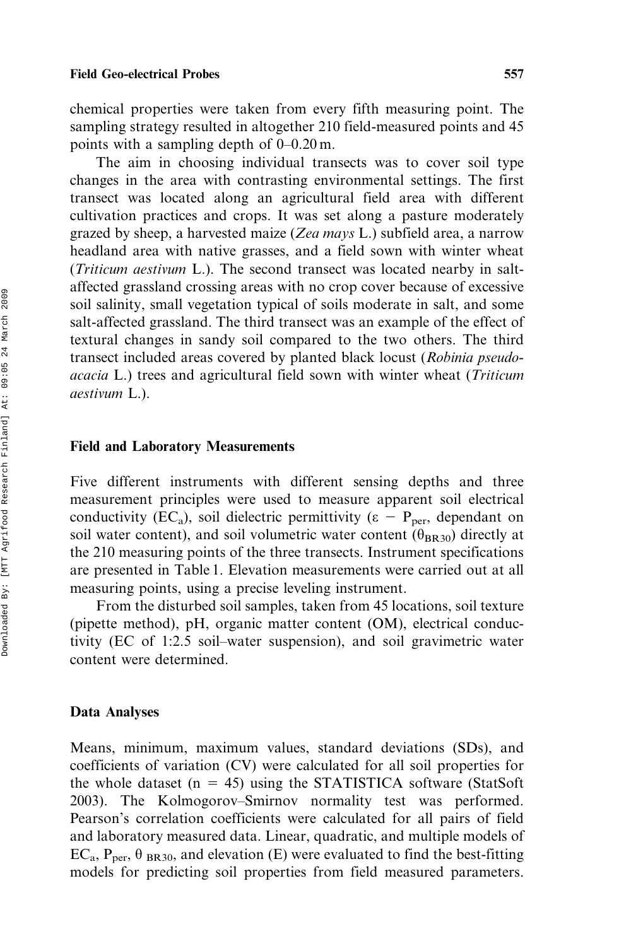chemical properties were taken from every fifth measuring point. The sampling strategy resulted in altogether 210 field-measured points and 45 points with a sampling depth of 0–0.20 m.

The aim in choosing individual transects was to cover soil type changes in the area with contrasting environmental settings. The first transect was located along an agricultural field area with different cultivation practices and crops. It was set along a pasture moderately grazed by sheep, a harvested maize (Zea mays L.) subfield area, a narrow headland area with native grasses, and a field sown with winter wheat (Triticum aestivum L.). The second transect was located nearby in saltaffected grassland crossing areas with no crop cover because of excessive soil salinity, small vegetation typical of soils moderate in salt, and some salt-affected grassland. The third transect was an example of the effect of textural changes in sandy soil compared to the two others. The third transect included areas covered by planted black locust (Robinia pseudoacacia L.) trees and agricultural field sown with winter wheat (Triticum aestivum L.).

#### Field and Laboratory Measurements

Five different instruments with different sensing depths and three measurement principles were used to measure apparent soil electrical conductivity (EC<sub>a</sub>), soil dielectric permittivity ( $\epsilon$  – P<sub>per</sub>, dependant on soil water content), and soil volumetric water content  $(\theta_{BR30})$  directly at the 210 measuring points of the three transects. Instrument specifications are presented in Table 1. Elevation measurements were carried out at all measuring points, using a precise leveling instrument.

From the disturbed soil samples, taken from 45 locations, soil texture (pipette method), pH, organic matter content (OM), electrical conductivity (EC of 1:2.5 soil–water suspension), and soil gravimetric water content were determined.

#### Data Analyses

Means, minimum, maximum values, standard deviations (SDs), and coefficients of variation (CV) were calculated for all soil properties for the whole dataset ( $n = 45$ ) using the STATISTICA software (StatSoft) 2003). The Kolmogorov–Smirnov normality test was performed. Pearson's correlation coefficients were calculated for all pairs of field and laboratory measured data. Linear, quadratic, and multiple models of  $EC_a$ ,  $P_{per}$ ,  $\theta_{BR30}$ , and elevation (E) were evaluated to find the best-fitting models for predicting soil properties from field measured parameters.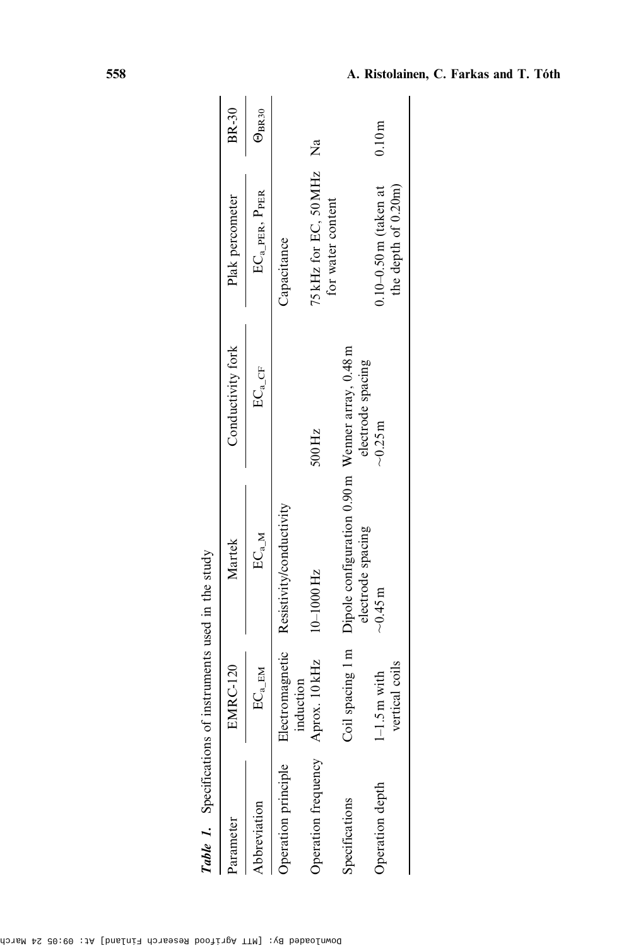| Parameter           | <b>EMRC-120</b>                    | Martek                                                                                 | Conductivity fork          | Plak percometer                                | BR-30               |
|---------------------|------------------------------------|----------------------------------------------------------------------------------------|----------------------------|------------------------------------------------|---------------------|
| Abbreviation        | $\text{EC}_\text{a\_EM}$           | $\mathbb{E}\mathbb{C}_{a\_M}$                                                          | $\text{EC}_{\text{a\_CF}}$ | $EC_{a\_PER}$ , $P_{PER}$                      | $\Theta_{\rm BR30}$ |
| Operation principle | induction                          | Electromagnetic Resistivity/conductivity                                               |                            | Capacitance                                    |                     |
| Operation frequency | Aprox. 10 kHz                      | 10-1000 Hz                                                                             | 500 Hz                     | 75 kHz for EC, 50 MHz Na<br>for water content  |                     |
| Specifications      |                                    | Coil spacing 1 m Dipole configuration 0.90 m Wenner array, 0.48 m<br>electrode spacing | electrode spacing          |                                                |                     |
| Operation depth     | vertical coils<br>$1 - 1.5$ m with | $-0.45$ m                                                                              | $-0.25m$                   | $0.10-0.50$ m (taken at<br>the depth of 0.20m) | 0.10 <sub>m</sub>   |

Table 1. Specifications of instruments used in the study **Table 1.** Specifications of instruments used in the study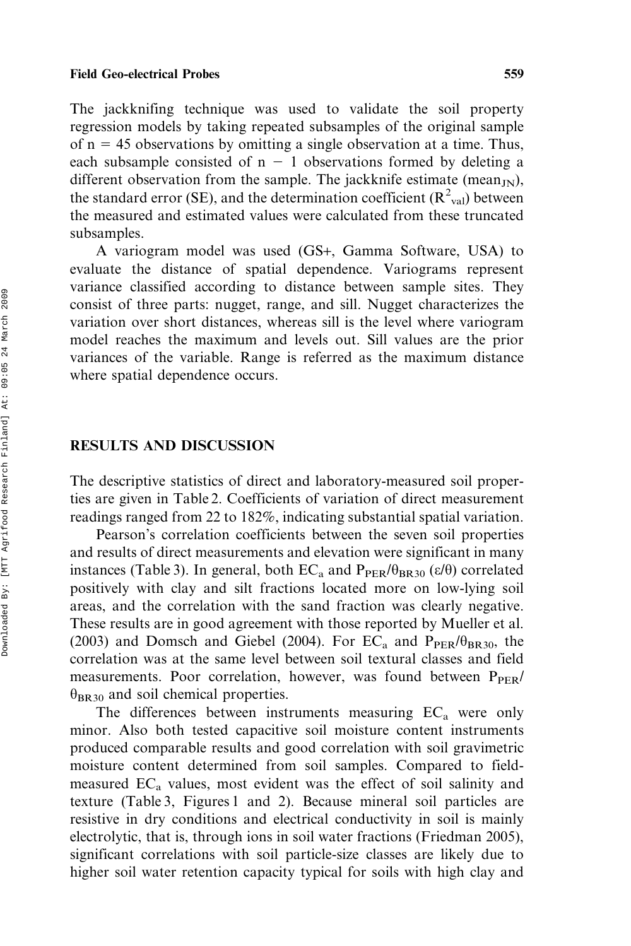The jackknifing technique was used to validate the soil property regression models by taking repeated subsamples of the original sample of  $n = 45$  observations by omitting a single observation at a time. Thus, each subsample consisted of  $n - 1$  observations formed by deleting a different observation from the sample. The jackknife estimate (mean $_{\text{IN}}$ ), the standard error (SE), and the determination coefficient  $(R^2_{val})$  between the measured and estimated values were calculated from these truncated subsamples.

A variogram model was used (GS+, Gamma Software, USA) to evaluate the distance of spatial dependence. Variograms represent variance classified according to distance between sample sites. They consist of three parts: nugget, range, and sill. Nugget characterizes the variation over short distances, whereas sill is the level where variogram model reaches the maximum and levels out. Sill values are the prior variances of the variable. Range is referred as the maximum distance where spatial dependence occurs.

### RESULTS AND DISCUSSION

The descriptive statistics of direct and laboratory-measured soil properties are given in Table 2. Coefficients of variation of direct measurement readings ranged from 22 to 182%, indicating substantial spatial variation.

Pearson's correlation coefficients between the seven soil properties and results of direct measurements and elevation were significant in many instances (Table 3). In general, both  $EC_a$  and  $P_{PER}/\theta_{BR30}$  ( $\varepsilon/\theta$ ) correlated positively with clay and silt fractions located more on low-lying soil areas, and the correlation with the sand fraction was clearly negative. These results are in good agreement with those reported by Mueller et al. (2003) and Domsch and Giebel (2004). For  $EC_a$  and  $P_{PER}/\theta_{RR30}$ , the correlation was at the same level between soil textural classes and field measurements. Poor correlation, however, was found between  $P_{PER}/$  $\theta_{BR30}$  and soil chemical properties.

The differences between instruments measuring  $EC<sub>a</sub>$  were only minor. Also both tested capacitive soil moisture content instruments produced comparable results and good correlation with soil gravimetric moisture content determined from soil samples. Compared to fieldmeasured  $EC<sub>a</sub>$  values, most evident was the effect of soil salinity and texture (Table 3, Figures 1 and 2). Because mineral soil particles are resistive in dry conditions and electrical conductivity in soil is mainly electrolytic, that is, through ions in soil water fractions (Friedman 2005), significant correlations with soil particle-size classes are likely due to higher soil water retention capacity typical for soils with high clay and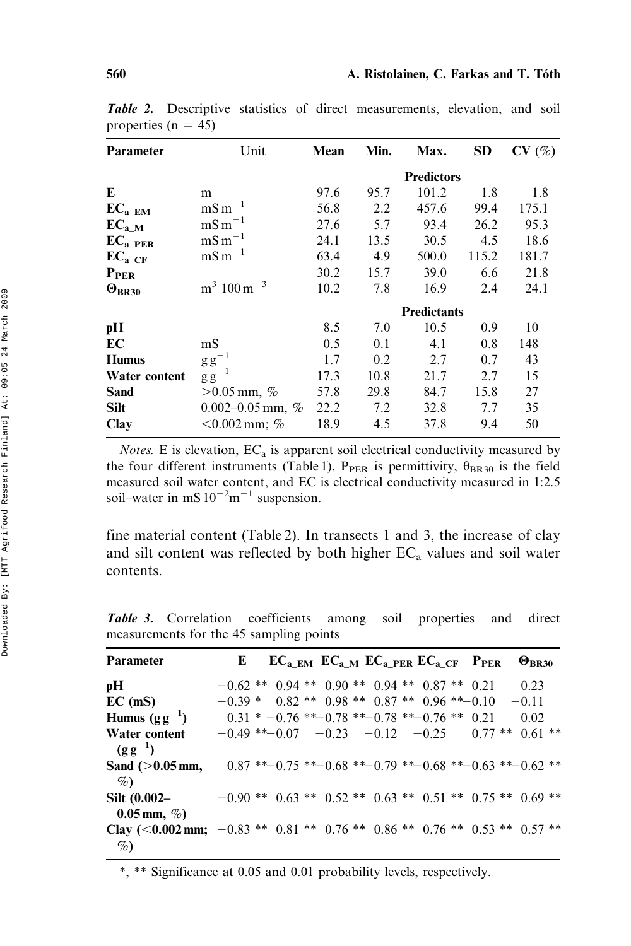| Parameter            | Unit                               | Mean | Min. | Max.               | <b>SD</b> | CV(%) |  |  |  |
|----------------------|------------------------------------|------|------|--------------------|-----------|-------|--|--|--|
|                      |                                    |      |      | <b>Predictors</b>  |           |       |  |  |  |
| E                    | m                                  | 97.6 | 95.7 | 101.2              | 1.8       | 1.8   |  |  |  |
| $EC_{a\_EM}$         | $mS m^{-1}$                        | 56.8 | 2.2  | 457.6              | 99.4      | 175.1 |  |  |  |
| $\mathbf{EC_{a\_M}}$ | $mS m^{-1}$                        | 27.6 | 5.7  | 93.4               | 26.2      | 95.3  |  |  |  |
| $EC_{a\_PER}$        | $mS m^{-1}$                        | 24.1 | 13.5 | 30.5               | 4.5       | 18.6  |  |  |  |
| $EC_{a\_CF}$         | $mS m^{-1}$                        | 63.4 | 4.9  | 500.0              | 115.2     | 181.7 |  |  |  |
| $P_{PER}$            |                                    | 30.2 | 15.7 | 39.0               | 6.6       | 21.8  |  |  |  |
| $\Theta_{BR30}$      | $\mathrm{m}^3$ 100 m <sup>-3</sup> | 10.2 | 7.8  | 16.9               | 2.4       | 24.1  |  |  |  |
|                      |                                    |      |      | <b>Predictants</b> |           |       |  |  |  |
| pH                   |                                    | 8.5  | 7.0  | 10.5               | 0.9       | 10    |  |  |  |
| EC                   | mS                                 | 0.5  | 0.1  | 4.1                | 0.8       | 148   |  |  |  |
| <b>Humus</b>         | $\mathrm{g\,g}^{-1}$               | 1.7  | 0.2  | 2.7                | 0.7       | 43    |  |  |  |
| Water content        | $\mathrm{g\,g}^{-1}$               | 17.3 | 10.8 | 21.7               | 2.7       | 15    |  |  |  |
| Sand                 | $>0.05$ mm, %                      | 57.8 | 29.8 | 84.7               | 15.8      | 27    |  |  |  |
| <b>Silt</b>          | 0.002-0.05 mm, $%$                 | 22.2 | 7.2  | 32.8               | 7.7       | 35    |  |  |  |
| Clay                 | $< 0.002$ mm; %                    | 18.9 | 4.5  | 37.8               | 9.4       | 50    |  |  |  |

Table 2. Descriptive statistics of direct measurements, elevation, and soil properties ( $n = 45$ )

Notes. E is elevation,  $EC_a$  is apparent soil electrical conductivity measured by the four different instruments (Table 1),  $P_{PER}$  is permittivity,  $\theta_{BR30}$  is the field measured soil water content, and EC is electrical conductivity measured in 1:2.5 soil–water in mS  $10^{-2}$ m<sup>-1</sup> suspension.

fine material content (Table 2). In transects 1 and 3, the increase of clay and silt content was reflected by both higher  $EC<sub>a</sub>$  values and soil water contents.

| Parameter                                                                         | E                                                            | $EC_{a\_EM}$ $EC_{a\_M}$ $EC_{a\_PER}$ $EC_{a\_CF}$ $P_{PER}$ |  |  |  |  | $\Theta_{BR30}$ |  |
|-----------------------------------------------------------------------------------|--------------------------------------------------------------|---------------------------------------------------------------|--|--|--|--|-----------------|--|
| pН                                                                                | $-0.62$ ** $0.94$ ** $0.90$ ** $0.94$ ** $0.87$ ** $0.21$    |                                                               |  |  |  |  | 0.23            |  |
| $EC$ (mS)                                                                         | $-0.39 * 0.82 ** 0.98 ** 0.87 ** 0.96 ** -0.10$              |                                                               |  |  |  |  | $-0.11$         |  |
| Humus $(g g^{-1})$                                                                |                                                              | $0.31 * -0.76 * -0.78 * -0.78 * -0.76 * -0.21$                |  |  |  |  | 0.02            |  |
| Water content<br>$(g g^{-1})$                                                     | $-0.49$ ** $-0.07$ $-0.23$ $-0.12$ $-0.25$ $0.77$ ** 0.61 ** |                                                               |  |  |  |  |                 |  |
| Sand $(>0.05$ mm,<br>$\%$                                                         |                                                              | $0.87$ **-0.75 **-0.68 **-0.79 **-0.68 **-0.63 **-0.62 **     |  |  |  |  |                 |  |
| Silt $(0.002 -$<br>$0.05$ mm, $\%$ )                                              | $-0.90**$ 0.63 ** 0.52 ** 0.63 ** 0.51 ** 0.75 ** 0.69 **    |                                                               |  |  |  |  |                 |  |
| Clay (<0.002 mm; -0.83 ** 0.81 ** 0.76 ** 0.86 ** 0.76 ** 0.53 ** 0.57 **<br>$\%$ |                                                              |                                                               |  |  |  |  |                 |  |

Table 3. Correlation coefficients among soil properties and direct measurements for the 45 sampling points

\*, \*\* Significance at 0.05 and 0.01 probability levels, respectively.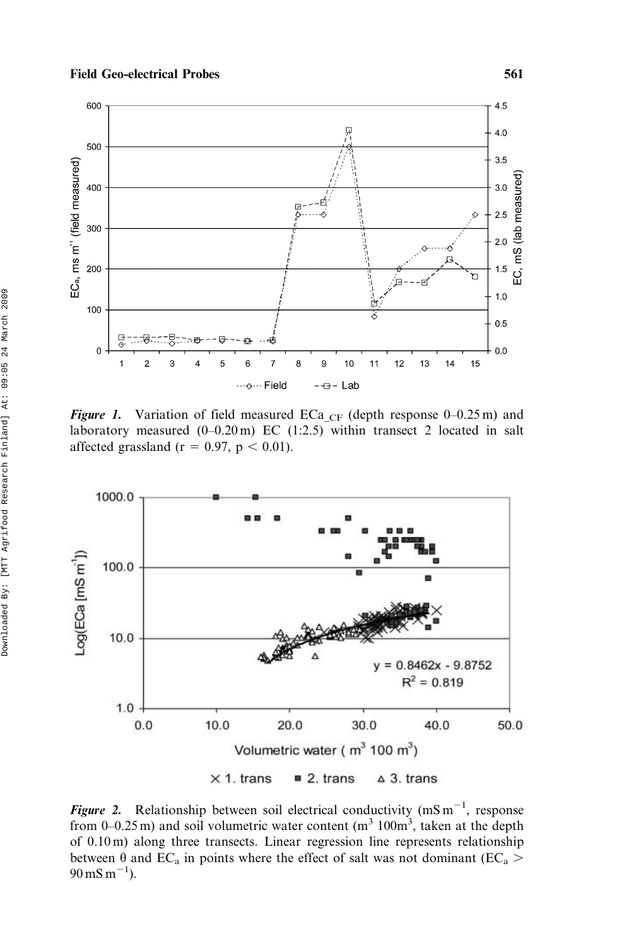

Figure 1. Variation of field measured ECa<sub>CF</sub> (depth response 0–0.25 m) and laboratory measured (0–0.20 m) EC (1:2.5) within transect 2 located in salt affected grassland ( $r = 0.97$ ,  $p < 0.01$ ).



Figure 2. Relationship between soil electrical conductivity (mS m<sup>-1</sup>, response from 0–0.25 m) and soil volumetric water content  $(m^3 100m^3)$ , taken at the depth of 0.10 m) along three transects. Linear regression line represents relationship between  $\hat{\theta}$  and EC<sub>a</sub> in points where the effect of salt was not dominant (EC<sub>a</sub> >  $90 \,\mathrm{mS\,m^{-1}}$ ).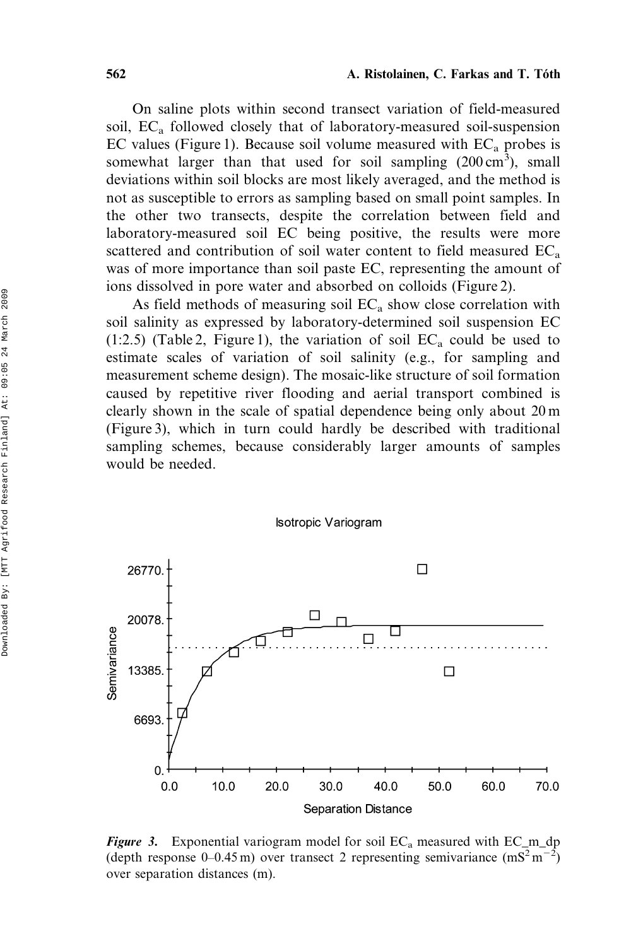On saline plots within second transect variation of field-measured soil,  $EC<sub>a</sub>$  followed closely that of laboratory-measured soil-suspension EC values (Figure 1). Because soil volume measured with  $EC_a$  probes is somewhat larger than that used for soil sampling  $(200 \text{ cm}^3)$ , small deviations within soil blocks are most likely averaged, and the method is not as susceptible to errors as sampling based on small point samples. In the other two transects, despite the correlation between field and laboratory-measured soil EC being positive, the results were more scattered and contribution of soil water content to field measured  $EC_a$ was of more importance than soil paste EC, representing the amount of ions dissolved in pore water and absorbed on colloids (Figure 2).

As field methods of measuring soil  $EC<sub>a</sub>$  show close correlation with soil salinity as expressed by laboratory-determined soil suspension EC (1:2.5) (Table 2, Figure 1), the variation of soil  $EC_a$  could be used to estimate scales of variation of soil salinity (e.g., for sampling and measurement scheme design). The mosaic-like structure of soil formation caused by repetitive river flooding and aerial transport combined is clearly shown in the scale of spatial dependence being only about 20 m (Figure 3), which in turn could hardly be described with traditional sampling schemes, because considerably larger amounts of samples would be needed.



#### **Isotropic Variogram**

Figure 3. Exponential variogram model for soil  $EC_a$  measured with  $EC_m_d$ (depth response 0–0.45 m) over transect 2 representing semivariance  $(mS<sup>2</sup>m<sup>-2</sup>)$ over separation distances (m).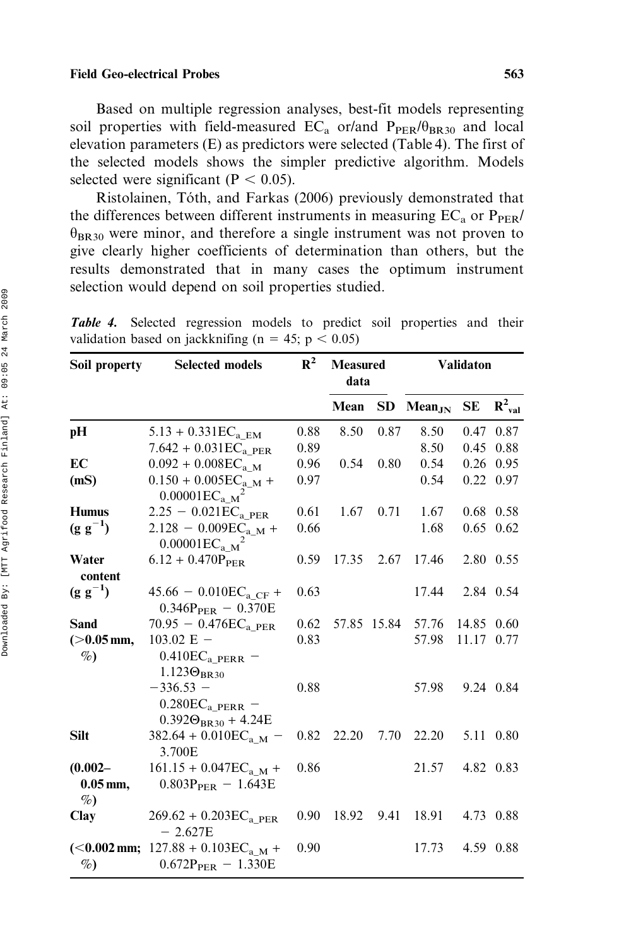Based on multiple regression analyses, best-fit models representing soil properties with field-measured  $EC_a$  or/and  $P_{PER}/\theta_{BR30}$  and local elevation parameters (E) as predictors were selected (Table 4). The first of the selected models shows the simpler predictive algorithm. Models selected were significant ( $P < 0.05$ ).

Ristolainen, Tóth, and Farkas (2006) previously demonstrated that the differences between different instruments in measuring  $EC_a$  or  $P_{PER}/$  $\theta_{BR30}$  were minor, and therefore a single instrument was not proven to give clearly higher coefficients of determination than others, but the results demonstrated that in many cases the optimum instrument selection would depend on soil properties studied.

| Soil property                    | <b>Selected models</b>                                               | $R^2$ | <b>Measured</b><br>data |             | <b>Validaton</b> |            |             |  |  |
|----------------------------------|----------------------------------------------------------------------|-------|-------------------------|-------------|------------------|------------|-------------|--|--|
|                                  |                                                                      |       | Mean                    | <b>SD</b>   | $Mean_{JN}$      | SЕ         | $R^2_{val}$ |  |  |
| рH                               | $5.13 + 0.331$ EC <sub>a</sub> EM                                    | 0.88  | 8.50                    | 0.87        | 8.50             |            | 0.47 0.87   |  |  |
|                                  | $7.642 + 0.031ECa$ PER                                               | 0.89  |                         |             | 8.50             |            | 0.45 0.88   |  |  |
| EC                               | $0.092 + 0.008$ EC <sub>aM</sub>                                     | 0.96  | 0.54                    | 0.80        | 0.54             |            | $0.26$ 0.95 |  |  |
| (mS)                             | $0.150 + 0.005ECa.M +$<br>$0.00001EC_{a M}^2$                        | 0.97  |                         |             | 0.54             |            | 0.22 0.97   |  |  |
| <b>Humus</b>                     | $2.25 - 0.021EC_{a\_PER}$                                            | 0.61  | 1.67                    | 0.71        | 1.67             |            | $0.68$ 0.58 |  |  |
| $(g g^{-1})$                     | $2.128 - 0.009EC_{a_M} +$<br>$0.00001EC_{a M}^2$                     | 0.66  |                         |             | 1.68             |            | $0.65$ 0.62 |  |  |
| Water<br>content                 | $6.12 + 0.470P_{PER}$                                                | 0.59  | 17.35                   | 2.67        | 17.46            |            | 2.80 0.55   |  |  |
| $(g g^{-1})$                     | $45.66 - 0.010ECa CF +$<br>$0.346P_{PER} - 0.370E$                   | 0.63  |                         |             | 17.44            |            | 2.84 0.54   |  |  |
| <b>Sand</b>                      | 70.95 - 0.476 $\rm EC_{a\ PER}$                                      | 0.62  |                         | 57.85 15.84 | 57.76            | 14.85 0.60 |             |  |  |
| $(>0.05$ mm,<br>$\%$             | $103.02$ E $-$<br>$0.410ECa$ PERR -<br>$1.123\Theta_{BR30}$          | 0.83  |                         |             | 57.98            | 11.17 0.77 |             |  |  |
|                                  | $-336.53 -$<br>$0.280ECa.PERR$ –<br>$0.392\Theta_{\rm BR30}$ + 4.24E | 0.88  |                         |             | 57.98            |            | 9.24 0.84   |  |  |
| <b>Silt</b>                      | 382.64 + 0.010EC <sub>a M</sub> –<br>3.700E                          | 0.82  | 22.20                   | 7.70        | 22.20            |            | 5.11 0.80   |  |  |
| $(0.002 -$<br>$0.05$ mm,<br>$\%$ | $161.15 + 0.047ECa.M +$<br>$0.803P_{PER} - 1.643E$                   | 0.86  |                         |             | 21.57            |            | 4.82 0.83   |  |  |
| Clay                             | $269.62 + 0.203ECa$ PER<br>$-2.627E$                                 | 0.90  | 18.92                   | 9.41        | 18.91            |            | 4.73 0.88   |  |  |
| $\%$                             | $(0.002 mm; 127.88 + 0.103ECa M +$<br>$0.672P_{PER} - 1.330E$        | 0.90  |                         |             | 17.73            |            | 4.59 0.88   |  |  |

Table 4. Selected regression models to predict soil properties and their validation based on jackknifing ( $n = 45$ ;  $p < 0.05$ )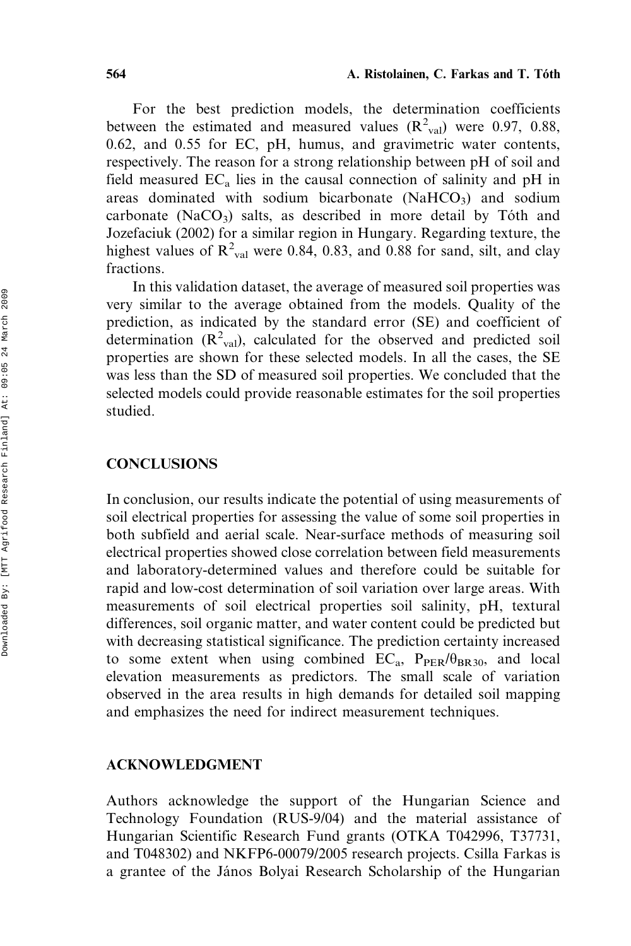For the best prediction models, the determination coefficients between the estimated and measured values  $(R^2_{val})$  were 0.97, 0.88, 0.62, and 0.55 for EC, pH, humus, and gravimetric water contents, respectively. The reason for a strong relationship between pH of soil and field measured  $EC_a$  lies in the causal connection of salinity and pH in areas dominated with sodium bicarbonate  $(NaHCO<sub>3</sub>)$  and sodium carbonate (NaCO<sub>3</sub>) salts, as described in more detail by Tóth and Jozefaciuk (2002) for a similar region in Hungary. Regarding texture, the highest values of  $R^2_{val}$  were 0.84, 0.83, and 0.88 for sand, silt, and clay fractions.

In this validation dataset, the average of measured soil properties was very similar to the average obtained from the models. Quality of the prediction, as indicated by the standard error (SE) and coefficient of determination  $(R^2_{val})$ , calculated for the observed and predicted soil properties are shown for these selected models. In all the cases, the SE was less than the SD of measured soil properties. We concluded that the selected models could provide reasonable estimates for the soil properties studied.

# **CONCLUSIONS**

In conclusion, our results indicate the potential of using measurements of soil electrical properties for assessing the value of some soil properties in both subfield and aerial scale. Near-surface methods of measuring soil electrical properties showed close correlation between field measurements and laboratory-determined values and therefore could be suitable for rapid and low-cost determination of soil variation over large areas. With measurements of soil electrical properties soil salinity, pH, textural differences, soil organic matter, and water content could be predicted but with decreasing statistical significance. The prediction certainty increased to some extent when using combined  $EC_a$ ,  $P_{PER}/\theta_{BR30}$ , and local elevation measurements as predictors. The small scale of variation observed in the area results in high demands for detailed soil mapping and emphasizes the need for indirect measurement techniques.

# ACKNOWLEDGMENT

Authors acknowledge the support of the Hungarian Science and Technology Foundation (RUS-9/04) and the material assistance of Hungarian Scientific Research Fund grants (OTKA T042996, T37731, and T048302) and NKFP6-00079/2005 research projects. Csilla Farkas is a grantee of the János Bolyai Research Scholarship of the Hungarian